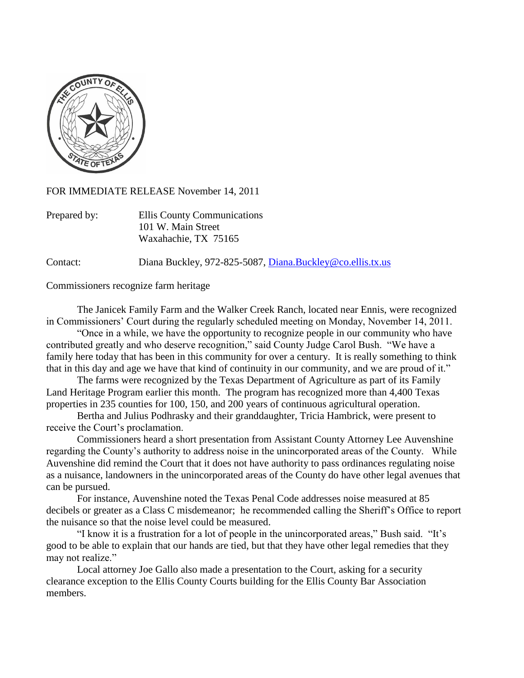

FOR IMMEDIATE RELEASE November 14, 2011

| Prepared by: | Ellis County Communications |
|--------------|-----------------------------|
|              | 101 W. Main Street          |
|              | Waxahachie, TX 75165        |

Contact: Diana Buckley, 972-825-5087, [Diana.Buckley@co.ellis.tx.us](mailto:Diana.Buckley@co.ellis.tx.us)

Commissioners recognize farm heritage

The Janicek Family Farm and the Walker Creek Ranch, located near Ennis, were recognized in Commissioners' Court during the regularly scheduled meeting on Monday, November 14, 2011.

"Once in a while, we have the opportunity to recognize people in our community who have contributed greatly and who deserve recognition," said County Judge Carol Bush. "We have a family here today that has been in this community for over a century. It is really something to think that in this day and age we have that kind of continuity in our community, and we are proud of it."

The farms were recognized by the Texas Department of Agriculture as part of its Family Land Heritage Program earlier this month. The program has recognized more than 4,400 Texas properties in 235 counties for 100, 150, and 200 years of continuous agricultural operation.

Bertha and Julius Podhrasky and their granddaughter, Tricia Hambrick, were present to receive the Court's proclamation.

Commissioners heard a short presentation from Assistant County Attorney Lee Auvenshine regarding the County's authority to address noise in the unincorporated areas of the County. While Auvenshine did remind the Court that it does not have authority to pass ordinances regulating noise as a nuisance, landowners in the unincorporated areas of the County do have other legal avenues that can be pursued.

For instance, Auvenshine noted the Texas Penal Code addresses noise measured at 85 decibels or greater as a Class C misdemeanor; he recommended calling the Sheriff's Office to report the nuisance so that the noise level could be measured.

"I know it is a frustration for a lot of people in the unincorporated areas," Bush said. "It's good to be able to explain that our hands are tied, but that they have other legal remedies that they may not realize."

Local attorney Joe Gallo also made a presentation to the Court, asking for a security clearance exception to the Ellis County Courts building for the Ellis County Bar Association members.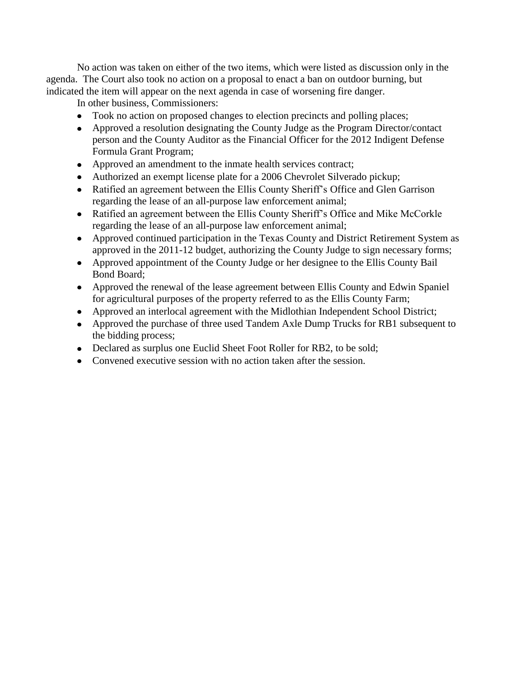No action was taken on either of the two items, which were listed as discussion only in the agenda. The Court also took no action on a proposal to enact a ban on outdoor burning, but indicated the item will appear on the next agenda in case of worsening fire danger.

In other business, Commissioners:

- Took no action on proposed changes to election precincts and polling places;
- Approved a resolution designating the County Judge as the Program Director/contact person and the County Auditor as the Financial Officer for the 2012 Indigent Defense Formula Grant Program;
- Approved an amendment to the inmate health services contract;
- Authorized an exempt license plate for a 2006 Chevrolet Silverado pickup;
- Ratified an agreement between the Ellis County Sheriff's Office and Glen Garrison regarding the lease of an all-purpose law enforcement animal;
- Ratified an agreement between the Ellis County Sheriff's Office and Mike McCorkle regarding the lease of an all-purpose law enforcement animal;
- Approved continued participation in the Texas County and District Retirement System as approved in the 2011-12 budget, authorizing the County Judge to sign necessary forms;
- Approved appointment of the County Judge or her designee to the Ellis County Bail Bond Board;
- Approved the renewal of the lease agreement between Ellis County and Edwin Spaniel for agricultural purposes of the property referred to as the Ellis County Farm;
- Approved an interlocal agreement with the Midlothian Independent School District;
- Approved the purchase of three used Tandem Axle Dump Trucks for RB1 subsequent to the bidding process;
- Declared as surplus one Euclid Sheet Foot Roller for RB2, to be sold;
- Convened executive session with no action taken after the session.